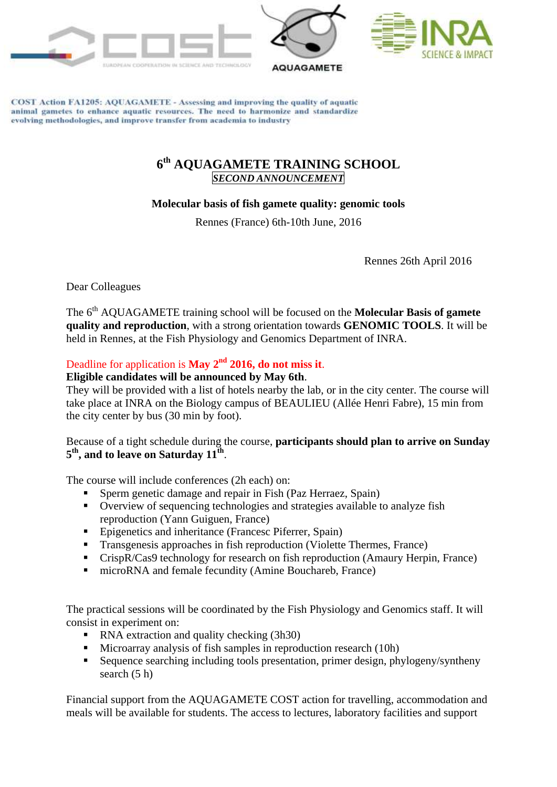





COST Action FA1205: AQUAGAMETE - Assessing and improving the quality of aquatic animal gametes to enhance aquatic resources. The need to harmonize and standardize evolving methodologies, and improve transfer from academia to industry

## **6 th AQUAGAMETE TRAINING SCHOOL** *SECOND ANNOUNCEMENT*

## **Molecular basis of fish gamete quality: genomic tools**

Rennes (France) 6th-10th June, 2016

Rennes 26th April 2016

Dear Colleagues

The 6<sup>th</sup> AOUAGAMETE training school will be focused on the **Molecular Basis of gamete quality and reproduction**, with a strong orientation towards **GENOMIC TOOLS**. It will be held in Rennes, at the Fish Physiology and Genomics Department of INRA.

## Deadline for application is **May 2nd 2016, do not miss it**.

## **Eligible candidates will be announced by May 6th**.

They will be provided with a list of hotels nearby the lab, or in the city center. The course will take place at INRA on the Biology campus of BEAULIEU (Allée Henri Fabre), 15 min from the city center by bus (30 min by foot).

Because of a tight schedule during the course, **participants should plan to arrive on Sunday 5 th, and to leave on Saturday 11th** .

The course will include conferences (2h each) on:

- Sperm genetic damage and repair in Fish (Paz Herraez, Spain)
- Overview of sequencing technologies and strategies available to analyze fish reproduction (Yann Guiguen, France)
- Epigenetics and inheritance (Francesc Piferrer, Spain)
- Transgenesis approaches in fish reproduction (Violette Thermes, France)
- CrispR/Cas9 technology for research on fish reproduction (Amaury Herpin, France)
- microRNA and female fecundity (Amine Bouchareb, France)

The practical sessions will be coordinated by the Fish Physiology and Genomics staff. It will consist in experiment on:

- RNA extraction and quality checking (3h30)
- Microarray analysis of fish samples in reproduction research (10h)
- Sequence searching including tools presentation, primer design, phylogeny/syntheny search (5 h)

Financial support from the AQUAGAMETE COST action for travelling, accommodation and meals will be available for students. The access to lectures, laboratory facilities and support